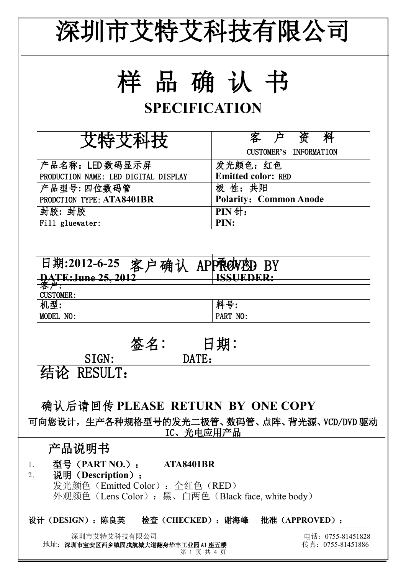| 深圳市艾特艾科技有限公司                                                                                                                                               |                                                 |  |  |  |  |  |
|------------------------------------------------------------------------------------------------------------------------------------------------------------|-------------------------------------------------|--|--|--|--|--|
| 样品确认书<br><b>SPECIFICATION</b>                                                                                                                              |                                                 |  |  |  |  |  |
| 艾特艾科技                                                                                                                                                      | 客户资<br>料<br>CUSTOMER'S INFORMATION              |  |  |  |  |  |
| 产品名称: LED 数码显示屏<br>PRODUCTION NAME: LED DIGITAL DISPLAY<br>产品型号:四位数码管                                                                                      | 发光颜色:红色<br><b>Emitted color: RED</b><br>极 性: 共阳 |  |  |  |  |  |
| PRODCTION TYPE: ATA8401BR<br>封胶: 封胶<br>Fill gluewater:                                                                                                     | <b>Polarity: Common Anode</b><br>PIN针:<br>PIN:  |  |  |  |  |  |
| 日期:2012-6-25 客户确认 APP预CNAD BY<br>DATE:June 25, 2012<br><b>CUSTOMER:</b><br>机型:<br>MODEL NO:                                                                | ISSUEDER:<br>料号:<br>PART NO:                    |  |  |  |  |  |
| 签名:<br>SIGN:<br>DATE:<br>结论 RESULT:                                                                                                                        | 日期:                                             |  |  |  |  |  |
| 确认后请回传 PLEASE RETURN BY ONE COPY<br>可向您设计,生产各种规格型号的发光二极管、数码管、点阵、背光源、VCD/DVD 驱动<br>IC、光电应用产品                                                                |                                                 |  |  |  |  |  |
| 产品说明书<br>型号 (PART NO.): ATA8401BR<br>1.<br>说明 (Description):<br>2.<br>发光颜色 (Emitted Color): 全红色 (RED)<br>外观颜色 (Lens Color): 黑、白两色 (Black face, white body) |                                                 |  |  |  |  |  |
| 设计(DESIGN): 陈良英  检查(CHECKED): 谢海峰  批准(APPROVED):<br>深圳市艾特艾科技有限公司<br>地址: 深圳市宝安区西乡镇固戍航城大道翻身华丰工业园 A1 座五楼<br>第1页共4页                                            | 电话: 0755-81451828<br>传真: 0755-81451886          |  |  |  |  |  |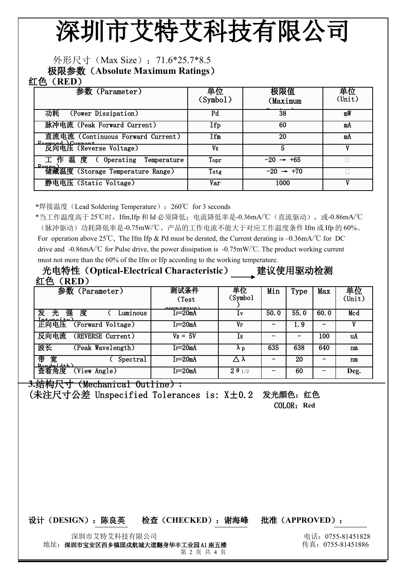# 深圳市艾特艾科技有限公司

## 外形尺寸 (Max Size): 71.6\*25.7\*8.5

极限参数(**Absolute Maximum Ratings**)

### 红色(**RED**)

| 参数 (Parameter)                                       | 单位<br>(Symb01) | 极限值<br>(Maximum       | 单位<br>$(\text{Unit})$ |  |
|------------------------------------------------------|----------------|-----------------------|-----------------------|--|
| (Power Dissipation)<br>功耗                            | Pd             | 38                    | mW                    |  |
| 脉冲电流 (Peak Forward Current)                          | Ifp            | 60                    | mA                    |  |
| 直流电流 (Continuous Forward Current)<br>Forward Curront | Ifm            | 20                    | mA                    |  |
| 反向电压 (Reverse Voltage)                               | VR             | 5                     |                       |  |
| 工作温度 ( Operating Temperature                         | Topr           | $-20 \rightarrow +65$ |                       |  |
| - Penged)<br>  情藏温度 (Storage Temperature Range)      | Tstg           | $-20 \rightarrow +70$ |                       |  |
| 静电电压 (Static Voltage)                                | Var            | 1000                  |                       |  |

**\***焊接温度(Lead Soldering Temperature):260 for 3 seconds ℃

\*当工作温度高于 25℃时,Ifm,Ifp 和 Id 必须降低;电流降低率是-0.36mA/℃(直流驱动),或-0.86mA/℃ (脉冲驱动)功耗降低率是-0.75mW/℃。产品的工作电流不能大于对应工作温度条件 Ifm 或 Ifp 的 60%。 For operation above 25°C, The Ifm Ifp & Pd must be derated, the Current derating is –0.36mA/ $\degree$ C for DC drive and -0.86mA/ $\degree$ C for Pulse drive, the power dissipation is -0.75mW/ $\degree$ C. The product working current must not more than the 60% of the Ifm or Ifp according to the working temperature.

光电特性(**Optical-Electrical Characteristic**) 建议使用驱动检测 红色(**RED**)

| 参数 (Parameter)                                       | 测试条件                  | <b>車位</b>          | Min  | Type | Max  | 単位     |
|------------------------------------------------------|-----------------------|--------------------|------|------|------|--------|
|                                                      | (Test                 | (Symbol            |      |      |      | (Unit) |
| 发<br>强<br>度<br>光<br>Luminous<br>$In_{\text{non}i+w}$ | $\alpha$<br>$Ir=20mA$ | 1v                 | 50.0 | 55.0 | 60.0 | Mcd    |
| 正向电压<br>(Forward Voltage)                            | $I_F = 20mA$          | VF                 |      | 1.9  |      |        |
| 反向电流<br>(REVERSE Current)                            | $V_R = 5V$            | Ir                 |      |      | 100  | uA     |
| 波长<br>(Peak Wavelength)                              | IF=20mA               | $\lambda$ p        | 635  | 638  | 640  | n m    |
| 帯<br>宽<br>Spectral<br>Randomidth                     | $Ir=20mA$             | $\wedge$ $\lambda$ |      | 20   |      | nm     |
| 査着角度<br>(View Angle)                                 | IF=20mA               | 201/2              |      | 60   |      | Deg.   |

**3.**结构尺寸(Mechanical Outline)**:**

(未注尺寸公差 Unspecified Tolerances is: X±0.2 发光颜色: 红色 COLOR:**Red**

#### 设计(**DESIGN**):陈良英 检查(**CHECKED**):谢海峰 批准(**APPROVED**):

深圳市艾特艾科技有限公司 电话:0755-81451828

地址: 深圳市宝安区西乡镇固戍航城大道翻身华丰工业园 A1 座五楼 インストランス しゅう たいこう たいこう たいこう そうしょう

第 2 页 共 4 页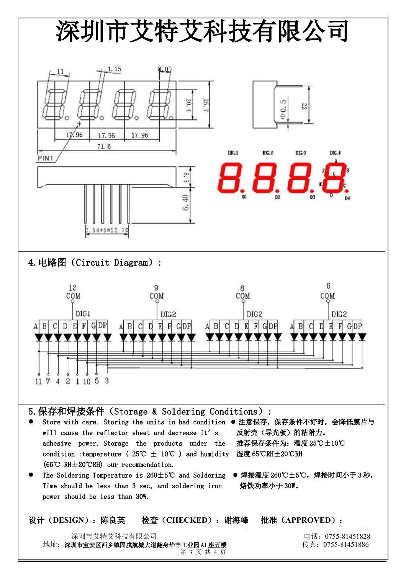